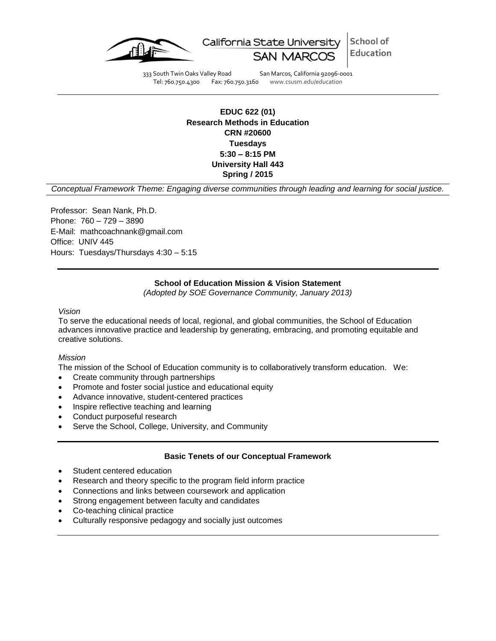

California State University School of Education

333 South Twin Oaks Valley Road San Marcos, California 92096-0001<br>Tel: 760.750.4300 Fax: 760.750.3160 www.csusm.edu/education Tel: 760.750.4300 Fax: 760.750.3160 www.csusm.edu/education

# **EDUC 622 (01) Research Methods in Education CRN #20600 Tuesdays 5:30 – 8:15 PM University Hall 443 Spring / 2015**

*Conceptual Framework Theme: Engaging diverse communities through leading and learning for social justice.*

Professor: Sean Nank, Ph.D. Phone: 760 – 729 – 3890 E-Mail: mathcoachnank@gmail.com Office: UNIV 445 Hours: Tuesdays/Thursdays 4:30 – 5:15

## **School of Education Mission & Vision Statement**

*(Adopted by SOE Governance Community, January 2013)*

*Vision*

To serve the educational needs of local, regional, and global communities, the School of Education advances innovative practice and leadership by generating, embracing, and promoting equitable and creative solutions.

#### *Mission*

The mission of the School of Education community is to collaboratively transform education. We:

- Create community through partnerships
- Promote and foster social justice and educational equity
- Advance innovative, student-centered practices
- Inspire reflective teaching and learning
- Conduct purposeful research
- Serve the School, College, University, and Community

#### **Basic Tenets of our Conceptual Framework**

- Student centered education
- Research and theory specific to the program field inform practice
- Connections and links between coursework and application
- Strong engagement between faculty and candidates
- Co-teaching clinical practice
- Culturally responsive pedagogy and socially just outcomes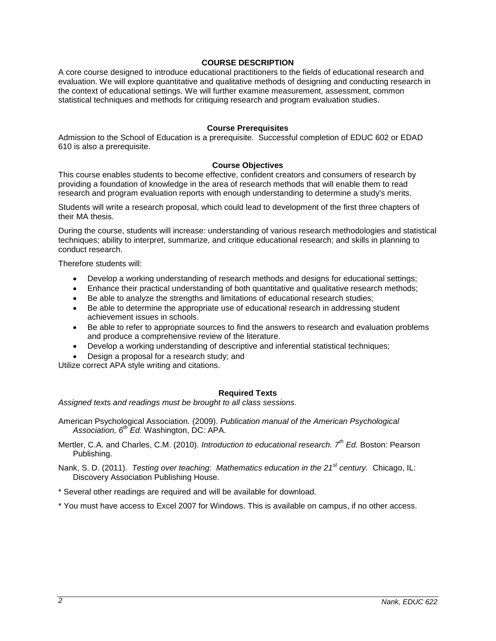## **COURSE DESCRIPTION**

A core course designed to introduce educational practitioners to the fields of educational research and evaluation. We will explore quantitative and qualitative methods of designing and conducting research in the context of educational settings. We will further examine measurement, assessment, common statistical techniques and methods for critiquing research and program evaluation studies.

#### **Course Prerequisites**

Admission to the School of Education is a prerequisite. Successful completion of EDUC 602 or EDAD 610 is also a prerequisite.

## **Course Objectives**

This course enables students to become effective, confident creators and consumers of research by providing a foundation of knowledge in the area of research methods that will enable them to read research and program evaluation reports with enough understanding to determine a study's merits.

Students will write a research proposal, which could lead to development of the first three chapters of their MA thesis.

During the course, students will increase: understanding of various research methodologies and statistical techniques; ability to interpret, summarize, and critique educational research; and skills in planning to conduct research.

Therefore students will:

- Develop a working understanding of research methods and designs for educational settings;
- Enhance their practical understanding of both quantitative and qualitative research methods;
- Be able to analyze the strengths and limitations of educational research studies;
- Be able to determine the appropriate use of educational research in addressing student achievement issues in schools.
- Be able to refer to appropriate sources to find the answers to research and evaluation problems and produce a comprehensive review of the literature.
- Develop a working understanding of descriptive and inferential statistical techniques;
- Design a proposal for a research study; and

Utilize correct APA style writing and citations.

#### **Required Texts**

*Assigned texts and readings must be brought to all class sessions.*

- American Psychological Association*.* (2009). *Publication manual of the American Psychological Association, 6th Ed.* Washington, DC: APA.
- Mertler, C.A. and Charles, C.M. (2010). *Introduction to educational research. 7th Ed.* Boston: Pearson Publishing.

Nank, S. D. (2011). *Testing over teaching: Mathematics education in the 21st century.* Chicago, IL: Discovery Association Publishing House.

\* Several other readings are required and will be available for download.

\* You must have access to Excel 2007 for Windows. This is available on campus, if no other access.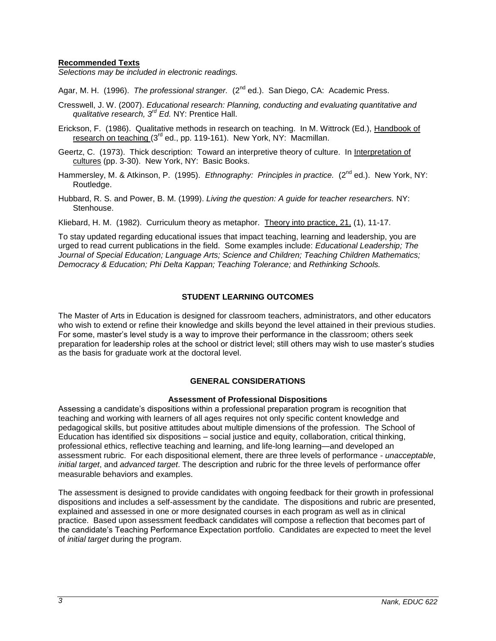## **Recommended Texts**

*Selections may be included in electronic readings.* 

Agar, M. H. (1996). *The professional stranger.* (2<sup>nd</sup> ed.). San Diego, CA: Academic Press.

- Cresswell, J. W. (2007). *Educational research: Planning, conducting and evaluating quantitative and qualitative research, 3rd Ed.* NY: Prentice Hall.
- Erickson, F. (1986). Qualitative methods in research on teaching. In M. Wittrock (Ed.), Handbook of research on teaching  $(3^{rd}$  ed., pp. 119-161). New York, NY: Macmillan.
- Geertz, C. (1973). Thick description: Toward an interpretive theory of culture. In Interpretation of cultures (pp. 3-30). New York, NY: Basic Books.
- Hammersley, M. & Atkinson, P. (1995). *Ethnography: Principles in practice.* (2<sup>nd</sup> ed.). New York, NY: Routledge.
- Hubbard, R. S. and Power, B. M. (1999). *Living the question: A guide for teacher researchers.* NY: Stenhouse.

Kliebard, H. M. (1982). Curriculum theory as metaphor. Theory into practice, 21, (1), 11-17.

To stay updated regarding educational issues that impact teaching, learning and leadership, you are urged to read current publications in the field. Some examples include: *Educational Leadership; The Journal of Special Education; Language Arts; Science and Children; Teaching Children Mathematics; Democracy & Education; Phi Delta Kappan; Teaching Tolerance;* and *Rethinking Schools.* 

## **STUDENT LEARNING OUTCOMES**

The Master of Arts in Education is designed for classroom teachers, administrators, and other educators who wish to extend or refine their knowledge and skills beyond the level attained in their previous studies. For some, master's level study is a way to improve their performance in the classroom; others seek preparation for leadership roles at the school or district level; still others may wish to use master's studies as the basis for graduate work at the doctoral level.

#### **GENERAL CONSIDERATIONS**

#### **Assessment of Professional Dispositions**

Assessing a candidate's dispositions within a professional preparation program is recognition that teaching and working with learners of all ages requires not only specific content knowledge and pedagogical skills, but positive attitudes about multiple dimensions of the profession. The School of Education has identified six dispositions – social justice and equity, collaboration, critical thinking, professional ethics, reflective teaching and learning, and life-long learning—and developed an assessment rubric. For each dispositional element, there are three levels of performance - *unacceptable*, *initial target*, and *advanced target*. The description and rubric for the three levels of performance offer measurable behaviors and examples.

The assessment is designed to provide candidates with ongoing feedback for their growth in professional dispositions and includes a self-assessment by the candidate. The dispositions and rubric are presented, explained and assessed in one or more designated courses in each program as well as in clinical practice. Based upon assessment feedback candidates will compose a reflection that becomes part of the candidate's Teaching Performance Expectation portfolio. Candidates are expected to meet the level of *initial target* during the program.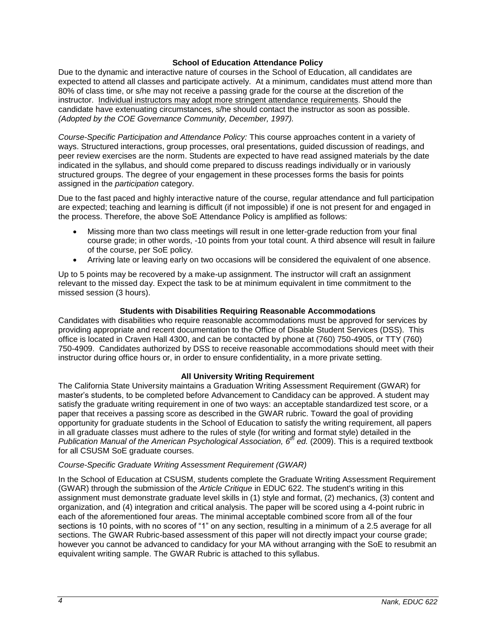## **School of Education Attendance Policy**

Due to the dynamic and interactive nature of courses in the School of Education, all candidates are expected to attend all classes and participate actively. At a minimum, candidates must attend more than 80% of class time, or s/he may not receive a passing grade for the course at the discretion of the instructor. Individual instructors may adopt more stringent attendance requirements. Should the candidate have extenuating circumstances, s/he should contact the instructor as soon as possible. *(Adopted by the COE Governance Community, December, 1997).*

*Course-Specific Participation and Attendance Policy:* This course approaches content in a variety of ways. Structured interactions, group processes, oral presentations, guided discussion of readings, and peer review exercises are the norm. Students are expected to have read assigned materials by the date indicated in the syllabus, and should come prepared to discuss readings individually or in variously structured groups. The degree of your engagement in these processes forms the basis for points assigned in the *participation* category.

Due to the fast paced and highly interactive nature of the course, regular attendance and full participation are expected; teaching and learning is difficult (if not impossible) if one is not present for and engaged in the process. Therefore, the above SoE Attendance Policy is amplified as follows:

- Missing more than two class meetings will result in one letter-grade reduction from your final course grade; in other words, -10 points from your total count. A third absence will result in failure of the course, per SoE policy.
- Arriving late or leaving early on two occasions will be considered the equivalent of one absence.

Up to 5 points may be recovered by a make-up assignment. The instructor will craft an assignment relevant to the missed day. Expect the task to be at minimum equivalent in time commitment to the missed session (3 hours).

#### **Students with Disabilities Requiring Reasonable Accommodations**

Candidates with disabilities who require reasonable accommodations must be approved for services by providing appropriate and recent documentation to the Office of Disable Student Services (DSS). This office is located in Craven Hall 4300, and can be contacted by phone at (760) 750-4905, or TTY (760) 750-4909. Candidates authorized by DSS to receive reasonable accommodations should meet with their instructor during office hours or, in order to ensure confidentiality, in a more private setting.

# **All University Writing Requirement**

The California State University maintains a Graduation Writing Assessment Requirement (GWAR) for master's students, to be completed before Advancement to Candidacy can be approved. A student may satisfy the graduate writing requirement in one of two ways: an acceptable standardized test score, or a paper that receives a passing score as described in the GWAR rubric. Toward the goal of providing opportunity for graduate students in the School of Education to satisfy the writing requirement, all papers in all graduate classes must adhere to the rules of style (for writing and format style) detailed in the *Publication Manual of the American Psychological Association, 6th ed.* (2009). This is a required textbook for all CSUSM SoE graduate courses.

#### *Course-Specific Graduate Writing Assessment Requirement (GWAR)*

In the School of Education at CSUSM, students complete the Graduate Writing Assessment Requirement (GWAR) through the submission of the *Article Critique* in EDUC 622. The student's writing in this assignment must demonstrate graduate level skills in (1) style and format, (2) mechanics, (3) content and organization, and (4) integration and critical analysis. The paper will be scored using a 4-point rubric in each of the aforementioned four areas. The minimal acceptable combined score from all of the four sections is 10 points, with no scores of "1" on any section, resulting in a minimum of a 2.5 average for all sections. The GWAR Rubric-based assessment of this paper will not directly impact your course grade; however you cannot be advanced to candidacy for your MA without arranging with the SoE to resubmit an equivalent writing sample. The GWAR Rubric is attached to this syllabus.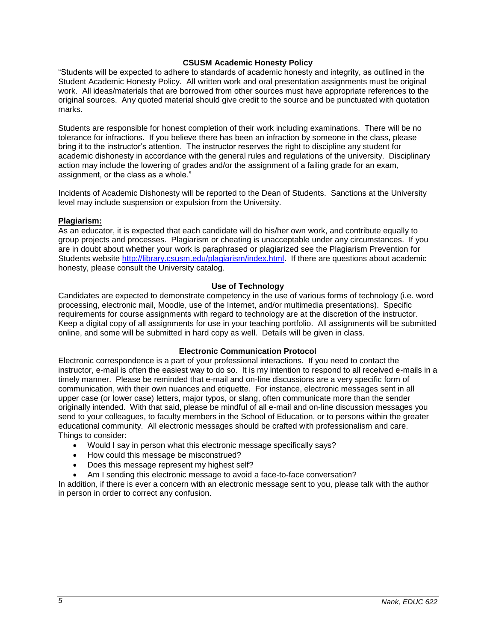## **CSUSM Academic Honesty Policy**

"Students will be expected to adhere to standards of academic honesty and integrity, as outlined in the Student Academic Honesty Policy. All written work and oral presentation assignments must be original work. All ideas/materials that are borrowed from other sources must have appropriate references to the original sources. Any quoted material should give credit to the source and be punctuated with quotation marks.

Students are responsible for honest completion of their work including examinations. There will be no tolerance for infractions. If you believe there has been an infraction by someone in the class, please bring it to the instructor's attention. The instructor reserves the right to discipline any student for academic dishonesty in accordance with the general rules and regulations of the university. Disciplinary action may include the lowering of grades and/or the assignment of a failing grade for an exam, assignment, or the class as a whole."

Incidents of Academic Dishonesty will be reported to the Dean of Students. Sanctions at the University level may include suspension or expulsion from the University.

#### **Plagiarism:**

As an educator, it is expected that each candidate will do his/her own work, and contribute equally to group projects and processes. Plagiarism or cheating is unacceptable under any circumstances. If you are in doubt about whether your work is paraphrased or plagiarized see the Plagiarism Prevention for Students website [http://library.csusm.edu/plagiarism/index.html.](http://library.csusm.edu/plagiarism/index.html) If there are questions about academic honesty, please consult the University catalog.

## **Use of Technology**

Candidates are expected to demonstrate competency in the use of various forms of technology (i.e. word processing, electronic mail, Moodle, use of the Internet, and/or multimedia presentations). Specific requirements for course assignments with regard to technology are at the discretion of the instructor. Keep a digital copy of all assignments for use in your teaching portfolio. All assignments will be submitted online, and some will be submitted in hard copy as well. Details will be given in class.

# **Electronic Communication Protocol**

Electronic correspondence is a part of your professional interactions. If you need to contact the instructor, e-mail is often the easiest way to do so. It is my intention to respond to all received e-mails in a timely manner. Please be reminded that e-mail and on-line discussions are a very specific form of communication, with their own nuances and etiquette. For instance, electronic messages sent in all upper case (or lower case) letters, major typos, or slang, often communicate more than the sender originally intended. With that said, please be mindful of all e-mail and on-line discussion messages you send to your colleagues, to faculty members in the School of Education, or to persons within the greater educational community. All electronic messages should be crafted with professionalism and care. Things to consider:

- Would I say in person what this electronic message specifically says?
- How could this message be misconstrued?
- Does this message represent my highest self?
- Am I sending this electronic message to avoid a face-to-face conversation?

In addition, if there is ever a concern with an electronic message sent to you, please talk with the author in person in order to correct any confusion.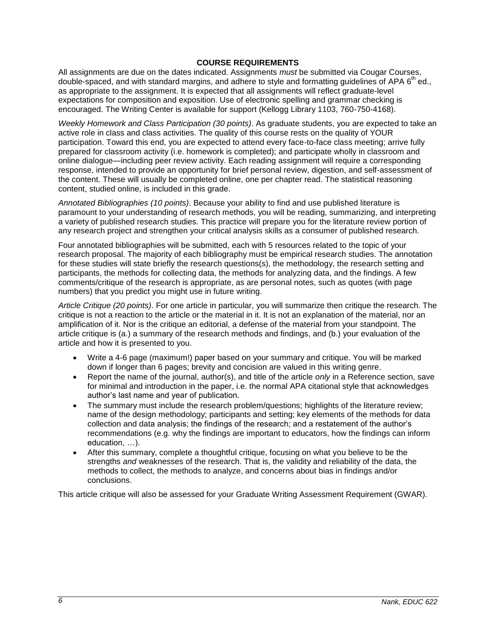## **COURSE REQUIREMENTS**

All assignments are due on the dates indicated. Assignments *must* be submitted via Cougar Courses, double-spaced, and with standard margins, and adhere to style and formatting guidelines of APA 6<sup>th</sup> ed., as appropriate to the assignment. It is expected that all assignments will reflect graduate-level expectations for composition and exposition. Use of electronic spelling and grammar checking is encouraged. The Writing Center is available for support (Kellogg Library 1103, 760-750-4168).

*Weekly Homework and Class Participation (30 points)*. As graduate students, you are expected to take an active role in class and class activities. The quality of this course rests on the quality of YOUR participation. Toward this end, you are expected to attend every face-to-face class meeting; arrive fully prepared for classroom activity (i.e. homework is completed); and participate wholly in classroom and online dialogue—including peer review activity. Each reading assignment will require a corresponding response, intended to provide an opportunity for brief personal review, digestion, and self-assessment of the content. These will usually be completed online, one per chapter read. The statistical reasoning content, studied online, is included in this grade.

*Annotated Bibliographies (10 points)*. Because your ability to find and use published literature is paramount to your understanding of research methods, you will be reading, summarizing, and interpreting a variety of published research studies. This practice will prepare you for the literature review portion of any research project and strengthen your critical analysis skills as a consumer of published research.

Four annotated bibliographies will be submitted, each with 5 resources related to the topic of your research proposal. The majority of each bibliography must be empirical research studies. The annotation for these studies will state briefly the research questions(s), the methodology, the research setting and participants, the methods for collecting data, the methods for analyzing data, and the findings. A few comments/critique of the research is appropriate, as are personal notes, such as quotes (with page numbers) that you predict you might use in future writing.

*Article Critique (20 points)*. For one article in particular, you will summarize then critique the research. The critique is not a reaction to the article or the material in it. It is not an explanation of the material, nor an amplification of it. Nor is the critique an editorial, a defense of the material from your standpoint. The article critique is (a.) a summary of the research methods and findings, and (b.) your evaluation of the article and how it is presented to you.

- Write a 4-6 page (maximum!) paper based on your summary and critique. You will be marked down if longer than 6 pages; brevity and concision are valued in this writing genre.
- Report the name of the journal, author(s), and title of the article *only* in a Reference section, save for minimal and introduction in the paper, i.e. the normal APA citational style that acknowledges author's last name and year of publication.
- The summary must include the research problem/questions; highlights of the literature review; name of the design methodology; participants and setting; key elements of the methods for data collection and data analysis; the findings of the research; and a restatement of the author's recommendations (e.g. why the findings are important to educators, how the findings can inform education, …).
- After this summary, complete a thoughtful critique, focusing on what you believe to be the strengths *and* weaknesses of the research. That is, the validity and reliability of the data, the methods to collect, the methods to analyze, and concerns about bias in findings and/or conclusions.

This article critique will also be assessed for your Graduate Writing Assessment Requirement (GWAR).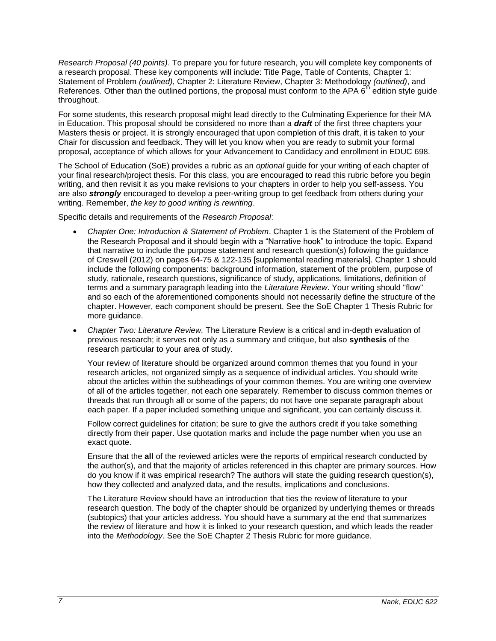*Research Proposal (40 points)*. To prepare you for future research, you will complete key components of a research proposal. These key components will include: Title Page, Table of Contents, Chapter 1: Statement of Problem *(outlined)*, Chapter 2: Literature Review, Chapter 3: Methodology *(outlined)*, and References. Other than the outlined portions, the proposal must conform to the APA  $6<sup>th</sup>$  edition style guide throughout.

For some students, this research proposal might lead directly to the Culminating Experience for their MA in Education. This proposal should be considered no more than a *draft* of the first three chapters your Masters thesis or project. It is strongly encouraged that upon completion of this draft, it is taken to your Chair for discussion and feedback. They will let you know when you are ready to submit your formal proposal, acceptance of which allows for your Advancement to Candidacy and enrollment in EDUC 698.

The School of Education (SoE) provides a rubric as an *optional* guide for your writing of each chapter of your final research/project thesis. For this class, you are encouraged to read this rubric before you begin writing, and then revisit it as you make revisions to your chapters in order to help you self-assess. You are also *strongly* encouraged to develop a peer-writing group to get feedback from others during your writing. Remember, *the key to good writing is rewriting*.

Specific details and requirements of the *Research Proposal*:

- *Chapter One: Introduction & Statement of Problem*. Chapter 1 is the Statement of the Problem of the Research Proposal and it should begin with a "Narrative hook" to introduce the topic. Expand that narrative to include the purpose statement and research question(s) following the guidance of Creswell (2012) on pages 64-75 & 122-135 [supplemental reading materials]. Chapter 1 should include the following components: background information, statement of the problem, purpose of study, rationale, research questions, significance of study, applications, limitations, definition of terms and a summary paragraph leading into the *Literature Review*. Your writing should "flow" and so each of the aforementioned components should not necessarily define the structure of the chapter. However, each component should be present. See the SoE Chapter 1 Thesis Rubric for more guidance.
- *Chapter Two: Literature Review.* The Literature Review is a critical and in-depth evaluation of previous research; it serves not only as a summary and critique, but also **synthesis** of the research particular to your area of study.

Your review of literature should be organized around common themes that you found in your research articles, not organized simply as a sequence of individual articles. You should write about the articles within the subheadings of your common themes. You are writing one overview of all of the articles together, not each one separately. Remember to discuss common themes or threads that run through all or some of the papers; do not have one separate paragraph about each paper. If a paper included something unique and significant, you can certainly discuss it.

Follow correct guidelines for citation; be sure to give the authors credit if you take something directly from their paper. Use quotation marks and include the page number when you use an exact quote.

Ensure that the **all** of the reviewed articles were the reports of empirical research conducted by the author(s), and that the majority of articles referenced in this chapter are primary sources. How do you know if it was empirical research? The authors will state the guiding research question(s), how they collected and analyzed data, and the results, implications and conclusions.

The Literature Review should have an introduction that ties the review of literature to your research question. The body of the chapter should be organized by underlying themes or threads (subtopics) that your articles address. You should have a summary at the end that summarizes the review of literature and how it is linked to your research question, and which leads the reader into the *Methodology*. See the SoE Chapter 2 Thesis Rubric for more guidance.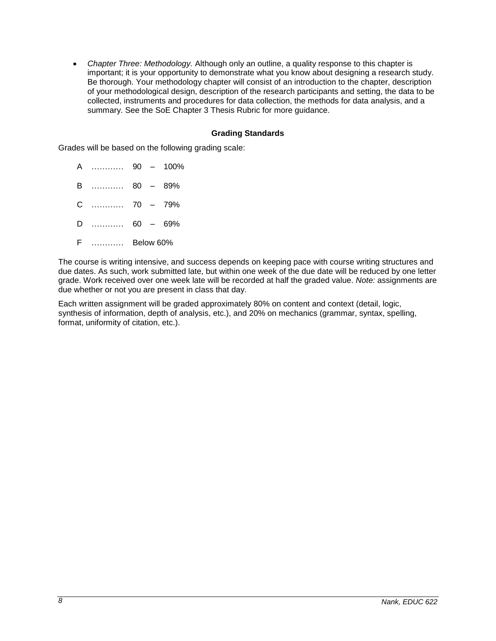*Chapter Three: Methodology.* Although only an outline, a quality response to this chapter is important; it is your opportunity to demonstrate what you know about designing a research study. Be thorough. Your methodology chapter will consist of an introduction to the chapter, description of your methodological design, description of the research participants and setting, the data to be collected, instruments and procedures for data collection, the methods for data analysis, and a summary. See the SoE Chapter 3 Thesis Rubric for more guidance.

## **Grading Standards**

Grades will be based on the following grading scale:

A ………… 90 – 100% B ………… 80 – 89%

C ………… 70 – 79%

D ………… 60 – 69%

F ………… Below 60%

The course is writing intensive, and success depends on keeping pace with course writing structures and due dates. As such, work submitted late, but within one week of the due date will be reduced by one letter grade. Work received over one week late will be recorded at half the graded value. *Note:* assignments are due whether or not you are present in class that day.

Each written assignment will be graded approximately 80% on content and context (detail, logic, synthesis of information, depth of analysis, etc.), and 20% on mechanics (grammar, syntax, spelling, format, uniformity of citation, etc.).